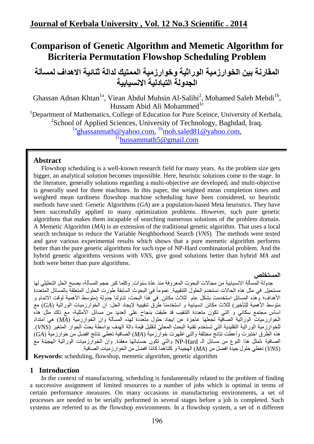# **Comparison of Genetic Algorithm and Memetic Algorithm for Bicriteria Permutation Flowshop Scheduling Problem**

**المقارنة بين الخوارزمية الوراثية وخوارزمية الممتيك لذالة ثنائية االهذاف لمسألة الجذولة التبادلية االنسيابية**

Ghassan Adnan Khtan<sup>1a</sup>, Viean Abdul Muhsin Al-Salihi<sup>2</sup>, Mohamed Saleh Mehdi<sup>1b</sup>, Hussam Abid Ali Mohammed<sup>1c</sup> <sup>1</sup>Department of Mathematics, College of Education for Pure Sceince, University of Kerbala, <sup>2</sup>School of Applied Sciences, University of Technology, Baghdad, Iraq. <sup>1a</sup>[ghassanmath@yahoo.com,](mailto:1aghassanmath@yahoo.com) <sup>1b</sup>moh.saled81@yahoo.com,

 $1\text{c}$ [hussammath5@gmail.com](mailto:1chussammath5@gmail.com)

## **Abstract**

Flowshop scheduling is a well-known research field for many years. As the problem size gets bigger, an analytical solution becomes impossible. Here, heuristic solutions come to the stage. In the literature, generally solutions regarding a multi-objective are developed; and multi-objective is generally used for three machines. In this paper, the weighted mean completion times and weighted mean tardiness flowshop machine scheduling have been considered, so heuristic methods have used: Genetic Algorithms (*GA*) are a population-based Meta heuristics. They have been successfully applied to many optimization problems. However, such pure genetic algorithms that makes them incapable of searching numerous solutions of the problem domain. A Memetic Algorithm (*MA*) is an extension of the traditional genetic algorithm. That uses a local search technique to reduce the Variable Neighborhood Search (*VNS*). The methods were tested and gave various experimental results which shows that a pure memetic algorithm performs better than the pure genetic algorithms for such type of NP-Hard combinatorial problem. And the hybrid genetic algorithms versions with *VNS*, give good solutions better than hybrid *MA* and both were better than pure algorithms.

### **المستخلص**

جدولة المسألة الانسيابية من مجالات البحوث المعروفة منذ عدّة سَنَوات. وكلما كبر حجم المسألة، يصبح الحل التحليلي لها مستحيل في مثل هذه الحالات نستخدم الحلولَ التنقيبية عموماً في البحوث السابقة طورت الحلول المنعلقة بالمسائل المتعددة الأهداف؛ وهذه المسائل استخدمت بشكل عام لثلاث مكائن في هذا البحث، تناولنا جدولة (متوسط الأهمية لوقت الاتمام و متوسط الأهمية للتأخير) لثلاث مكائن انسيابية و استخدمناً طرق تنقيبية لإيجاد الحل: ان الخوارزميات الوراثية (GA) مع اساس مجتمع سكاني و التي تكون متعددة التنقيب قد طبقت بنجاح على العديد من مسائل الأمثلية، مع ذلك مثل هذِه الخوارزميات الوراثية الصافية تجعلها عاجزة عن ايجاد حلول متعدِّدة لهذِ المسألة وان الخوارزمية (MA) هي امتداد نلخوارزمية الوراثية التقليدية التي تستخدم تقنية البحث المحليّ لتقليل قيمة دالة الهدف بواسطة بحث الجوار<sup>ُ</sup> المتغير (*VNS*). هذِه الطّرق اختبرت وأعطت نتائج مختلفة والتي اظهرت خوارزمية (MA) الصافية تعطي نتائج افضل من خوارزمية (GA) الصافية ،لمثل هذا النوع من مسائل الـ NP-Hard والنبي نكون حساباتها معقدة. وان الخوارزميات الوراثية الهجينَة معُ *(VNS*) نعطي حلول جيدة افضل من *(MA)* الهجينة و كلتاهما كانتا افضل من الخو ار ز ميات الصافية.

**Keywords:** scheduling, flowshop, memetic algorithm, genetic algorithm

## **1 Introduction**

In the context of manufacturing, scheduling is fundamentally related to the problem of finding a successive assignment of limited resources to a number of jobs which is optimal in terms of certain performance measures. On many occasions in manufacturing environments, a set of processes are needed to be serially performed in several stages before a job is completed. Such systems are referred to as the flowshop environments. In a flowshop system, a set of  $n$  different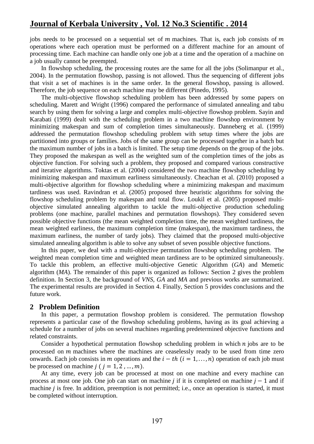jobs needs to be processed on a sequential set of  $m$  machines. That is, each job consists of  $m$ operations where each operation must be performed on a different machine for an amount of processing time. Each machine can handle only one job at a time and the operation of a machine on a job usually cannot be preempted.

In flowshop scheduling, the processing routes are the same for all the jobs (Solimanpur et al., 2004). In the permutation flowshop, passing is not allowed. Thus the sequencing of different jobs that visit a set of machines is in the same order. In the general flowshop, passing is allowed. Therefore, the job sequence on each machine may be different (Pinedo, 1995).

The multi-objective flowshop scheduling problem has been addressed by some papers on scheduling. Marett and Wright (1996) compared the performance of simulated annealing and tabu search by using them for solving a large and complex multi-objective flowshop problem. Sayin and Karabati (1999) dealt with the scheduling problem in a two machine flowshop environment by minimizing makespan and sum of completion times simultaneously. Danneberg et al. (1999) addressed the permutation flowshop scheduling problem with setup times where the jobs are partitioned into groups or families. Jobs of the same group can be processed together in a batch but the maximum number of jobs in a batch is limited. The setup time depends on the group of the jobs. They proposed the makespan as well as the weighted sum of the completion times of the jobs as objective function. For solving such a problem, they proposed and compared various constructive and iterative algorithms. Toktas et al. (2004) considered the two machine flowshop scheduling by minimizing makespan and maximum earliness simultaneously. Cheachan et al. (2010) proposed a multi-objective algorithm for flowshop scheduling where a minimizing makespan and maximum tardiness was used. Ravindran et al. (2005) proposed three heuristic algorithms for solving the flowshop scheduling problem by makespan and total flow. Loukil et al. (2005) proposed multiobjective simulated annealing algorithm to tackle the multi-objective production scheduling problems (one machine, parallel machines and permutation flowshops). They considered seven possible objective functions (the mean weighted completion time, the mean weighted tardiness, the mean weighted earliness, the maximum completion time (makespan), the maximum tardiness, the maximum earliness, the number of tardy jobs). They claimed that the proposed multi-objective simulated annealing algorithm is able to solve any subset of seven possible objective functions.

In this paper, we deal with a multi-objective permutation flowshop scheduling problem. The weighted mean completion time and weighted mean tardiness are to be optimized simultaneously. To tackle this problem, an effective multi-objective Genetic Algorithm (*GA*) and Memetic algorithm (*MA*). The remainder of this paper is organized as follows: Section 2 gives the problem definition. In Section 3, the background of *VNS*, *GA* and *MA* and previous works are summarized. The experimental results are provided in Section 4. Finally, Section 5 provides conclusions and the future work.

### **2 Problem Definition**

In this paper, a permutation flowshop problem is considered. The permutation flowshop represents a particular case of the flowshop scheduling problems, having as its goal achieving a schedule for a number of jobs on several machines regarding predetermined objective functions and related constraints.

Consider a hypothetical permutation flowshop scheduling problem in which  $n$  jobs are to be processed on  *machines where the machines are ceaselessly ready to be used from time zero* onwards. Each job consists in m operations and the  $i - th$   $(i = 1, ..., n)$  operation of each job must be processed on machine  $j$  ( $j = 1, 2, ..., m$ ).

At any time, every job can be processed at most on one machine and every machine can process at most one job. One job can start on machine *j* if it is completed on machine  $j - 1$  and if machine  $i$  is free. In addition, preemption is not permitted; i.e., once an operation is started, it must be completed without interruption.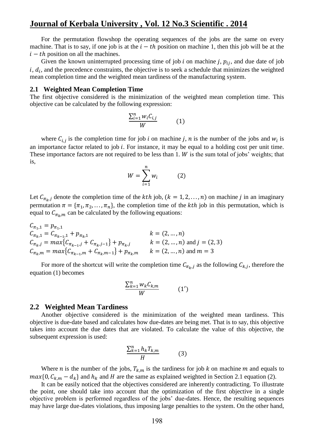For the permutation flowshop the operating sequences of the jobs are the same on every machine. That is to say, if one job is at the  $i-th$  position on machine 1, then this job will be at the  $i-th$  position on all the machines.

Given the known uninterrupted processing time of job  $i$  on machine  $j$ ,  $p_{ij}$ , and due date of job  $i, d_i$ , and the precedence constraints, the objective is to seek a schedule that minimizes the weighted mean completion time and the weighted mean tardiness of the manufacturing system.

#### **2.1 Weighted Mean Completion Time**

The first objective considered is the minimization of the weighted mean completion time. This objective can be calculated by the following expression:

$$
\frac{\sum_{i=1}^{n} w_i C_{i,j}}{W}
$$
 (1)

where  $C_{i,j}$  is the completion time for job i on machine j, n is the number of the jobs and  $w_i$  is an importance factor related to job  $i$ . For instance, it may be equal to a holding cost per unit time. These importance factors are not required to be less than  $1. W$  is the sum total of jobs' weights; that is,

$$
W = \sum_{i=1}^{n} w_i \tag{2}
$$

Let  $C_{\pi_{k},i}$  denote the completion time of the kth job,  $(k = 1, 2, ..., n)$  on machine j in an imaginary permutation  $\pi = {\pi_1, \pi_2, ..., \pi_n}$ , the completion time of the *kth* job in this permutation, which is equal to  $C_{\pi_k,m}$  can be calculated by the following equations:

$$
C_{\pi_{1},1} = p_{\pi_{1},1}
$$
  
\n
$$
C_{\pi_{k},1} = C_{\pi_{k-1},1} + p_{\pi_{k},1}
$$
  
\n
$$
K = (2, ..., n)
$$
  
\n
$$
C_{\pi_{k},j} = max\{C_{\pi_{k-1},j} + C_{\pi_{k},j-1}\} + p_{\pi_{k},j}
$$
  
\n
$$
K = (2, ..., n)
$$
  
\n
$$
K = (2, ..., n)
$$
 and  $j = (2, 3)$   
\n
$$
C_{\pi_{k},m} = max\{C_{\pi_{k-1},m} + C_{\pi_{k},m-1}\} + p_{\pi_{k},m}
$$
  
\n
$$
K = (2, ..., n)
$$
 and  $j = (2, 3)$ 

For more of the shortcut will write the completion time  $C_{\pi_{\nu},i}$  as the following  $C_{k,i}$ , therefore the equation (1) becomes

$$
\frac{\sum_{k=1}^{n} w_k C_{k,m}}{W} \qquad (1')
$$

#### **2.2 Weighted Mean Tardiness**

Another objective considered is the minimization of the weighted mean tardiness. This objective is due-date based and calculates how due-dates are being met. That is to say, this objective takes into account the due dates that are violated. To calculate the value of this objective, the subsequent expression is used:

$$
\frac{\sum_{k=1}^{n} h_k T_{k,m}}{H}
$$
 (3)

Where *n* is the number of the jobs,  $T_{k,m}$  is the tardiness for job k on machine m and equals to  $max{0, C_{k,m} - d_k}$  and  $h_k$  and H are the same as explained weighted in Section 2.1 equation (2).

It can be easily noticed that the objectives considered are inherently contradicting. To illustrate the point, one should take into account that the optimization of the first objective in a single objective problem is performed regardless of the jobs" due-dates. Hence, the resulting sequences may have large due-dates violations, thus imposing large penalties to the system. On the other hand,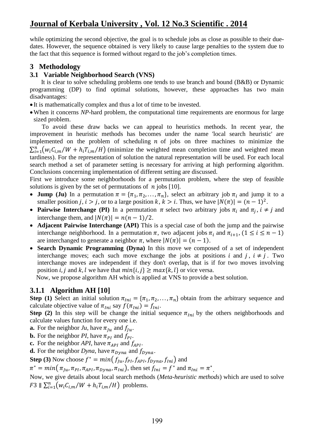while optimizing the second objective, the goal is to schedule jobs as close as possible to their duedates. However, the sequence obtained is very likely to cause large penalties to the system due to the fact that this sequence is formed without regard to the job"s completion times.

## **3 Methodology**

### **3.1 Variable Neighborhood Search (VNS)**

It is clear to solve scheduling problems one tends to use branch and bound (B&B) or Dynamic programming (DP) to find optimal solutions, however, these approaches has two main disadvantages:

- It is mathematically complex and thus a lot of time to be invested.
- When it concerns *NP*-hard problem, the computational time requirements are enormous for large sized problem.

To avoid these draw backs we can appeal to heuristics methods. In recent year, the improvement in heuristic methods has becomes under the name 'local search heuristic' are implemented on the problem of scheduling  $n$  of jobs on three machines to minimize the  $\sum_{i=1}^{n} (w_i C_{i,m}/W + h_i T_{i,m}/H)$  (minimize the weighted mean completion time and weighted mean tardiness). For the representation of solution the natural representation will be used. For each local search method a set of parameter setting is necessary for arriving at high performing algorithm. Conclusions concerning implementation of different setting are discussed.

First we introduce some neighborhoods for a permutation problem, where the step of feasible solutions is given by the set of permutations of  $n$  jobs [10].

- **Jump** (Ju) In a permutation  $\pi = {\pi_1, \pi_2, ..., \pi_n}$ , select an arbitrary job  $\pi_i$  and jump it to a smaller position *j*,  $i > j$ , or to a large position  $k, k > i$ . Thus, we have  $|N(\pi)| = (n - 1)^2$ .
- Pairwise Interchange (PI) In a permutation  $\pi$  select two arbitrary jobs  $\pi_i$  and  $\pi_j$ ,  $i \neq j$  and interchange them, and  $|N(\pi)| = n(n-1)/2$ .
- **Adjacent Pairwise Interchange (API)** This is a special case of both the jump and the pairwise interchange neighborhood. In a permutation  $\pi$ , two adjacent jobs  $\pi_i$  and  $\pi_{i+1}$ ,  $(1 \leq i \leq n-1)$ are interchanged to generate a neighbor  $\pi$ , where  $|N(\pi)| = (n-1)$ .
- **Search Dynamic Programming (Dyna)** In this move we composed of a set of independent interchange moves; each such move exchange the jobs at positions i and j,  $i \neq j$ . Two interchange moves are independent if they don't overlap, that is if for two moves involving position *i*, *j* and *k*, *l* we have that  $min\{i, j\} \ge max\{k, l\}$  or vice versa.

Now, we propose algorithm AH which is applied at VNS to provide a best solution.

## **3.1.1 Algorithm AH [10]**

**Step (1)** Select an initial solution  $\pi_{ini} = {\pi_1, \pi_2, ..., \pi_n}$  obtain from the arbitrary sequence and calculate objective value of  $\pi_{1ni}$  say  $f(\pi_{1ni}) = f_{1ni}$ .

**Step (2)** In this step will be change the initial sequence  $\pi_{ini}$  by the others neighborhoods and calculate values function for every one i.e.

- **a.** For the neighbor *Ju*, have  $\pi_{\mu}$  and  $f_{\mu}$ .
- **b.** For the neighbor *PI*, have  $\pi_{PI}$  and  $f_{PI}$ .
- **c.** For the neighbor *API*, have  $\pi_{API}$  and  $f_{API}$ .

**d.** For the neighbor *Dyna*, have  $\pi_{D\nu na}$  and  $f_{D\nu na}$ .

**Step (3)** Now choose  $f^* = min(f_{lu}, f_{Pl}, f_{API}, f_{Dvna}, f_{ln})$  and

 $\pi^* = min(\pi_{Ju}, \pi_{PI}, \pi_{API}, \pi_{Dyna}, \pi_{Ini}),$  then set  $f_{Ini} = f^*$  and  $\pi_{Ini} = \pi^*$ .

Now, we give details about local search methods (*Meta-heuristic methods*) which are used to solve  $F3 \parallel \sum_{i=1}^{n} (w_i C_{i,m}/W + h_i T_{i,m}/H)$  problems.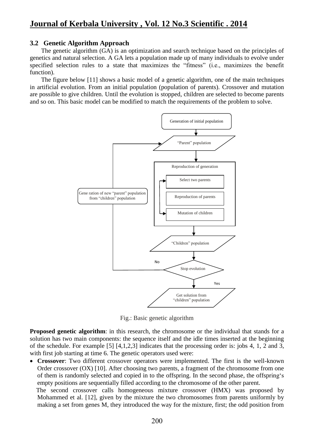### **3.2 Genetic Algorithm Approach**

The genetic algorithm (GA) is an optimization and search technique based on the principles of genetics and natural selection. A GA lets a population made up of many individuals to evolve under specified selection rules to a state that maximizes the "fitness" (i.e., maximizes the benefit function).

The figure below [11] shows a basic model of a genetic algorithm, one of the main techniques in artificial evolution. From an initial population (population of parents). Crossover and mutation are possible to give children. Until the evolution is stopped, children are selected to become parents and so on. This basic model can be modified to match the requirements of the problem to solve.



Fig.: Basic genetic algorithm

**Proposed genetic algorithm**: in this research, the chromosome or the individual that stands for a solution has two main components: the sequence itself and the idle times inserted at the beginning of the schedule. For example [5] [4,1,2,3] indicates that the processing order is: jobs 4, 1, 2 and 3, with first job starting at time 6. The genetic operators used were:

 **Crossover**: Two different crossover operators were implemented. The first is the well-known Order crossover (OX) [10]. After choosing two parents, a fragment of the chromosome from one of them is randomly selected and copied in to the offspring. In the second phase, the offspring"s empty positions are sequentially filled according to the chromosome of the other parent.

 The second crossover calls homogeneous mixture crossover (HMX) was proposed by Mohammed et al. [12], given by the mixture the two chromosomes from parents uniformly by making a set from genes M, they introduced the way for the mixture, first; the odd position from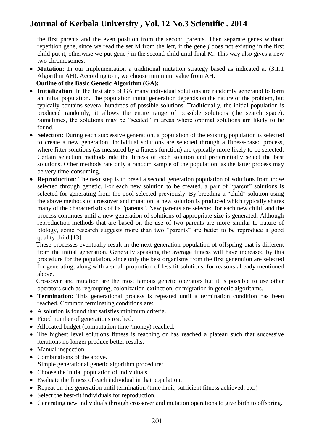the first parents and the even position from the second parents. Then separate genes without repetition gene, since we read the set M from the left, if the gene *j* does not existing in the first child put it, otherwise we put gene *j* in the second child until final M. This way also gives a new two chromosomes.

- **Mutation**: In our implementation a traditional mutation strategy based as indicated at (3.1.1) Algorithm AH). According to it, we choose minimum value from AH.
- **Outline of the Basic Genetic Algorithm (GA):**
- **Initialization**: In the first step of GA many individual solutions are randomly generated to form an initial population. The population initial generation depends on the nature of the problem, but typically contains several hundreds of possible solutions. Traditionally, the initial population is produced randomly, it allows the entire range of possible solutions (the search space). Sometimes, the solutions may be "seeded" in areas where optimal solutions are likely to be found.
- **Selection**: During each successive generation, a population of the existing population is selected to create a new generation. Individual solutions are selected through a fitness-based process, where fitter solutions (as measured by a fitness function) are typically more likely to be selected. Certain selection methods rate the fitness of each solution and preferentially select the best solutions. Other methods rate only a random sample of the population, as the latter process may be very time-consuming.
- **Reproduction**: The next step is to breed a second generation population of solutions from those selected through genetic. For each new solution to be created, a pair of "parent" solutions is selected for generating from the pool selected previously. By breeding a "child" solution using the above methods of crossover and mutation, a new solution is produced which typically shares many of the characteristics of its "parents". New parents are selected for each new child, and the process continues until a new generation of solutions of appropriate size is generated. Although reproduction methods that are based on the use of two parents are more similar to nature of biology, some research suggests more than two "parents" are better to be reproduce a good quality child [13].

 These processes eventually result in the next generation population of offspring that is different from the initial generation. Generally speaking the average fitness will have increased by this procedure for the population, since only the best organisms from the first generation are selected for generating, along with a small proportion of less fit solutions, for reasons already mentioned above.

 Crossover and mutation are the most famous genetic operators but it is possible to use other operators such as regrouping, colonization-extinction, or migration in genetic algorithms.

- **Termination**: This generational process is repeated until a termination condition has been reached. Common terminating conditions are:
- A solution is found that satisfies minimum criteria.
- Fixed number of generations reached.
- Allocated budget (computation time /money) reached.
- The highest level solutions fitness is reaching or has reached a plateau such that successive iterations no longer produce better results.
- Manual inspection.
- Combinations of the above.
	- Simple generational genetic algorithm procedure:
- Choose the initial population of individuals.
- Evaluate the fitness of each individual in that population.
- Repeat on this generation until termination (time limit, sufficient fitness achieved, etc.)
- Select the best-fit individuals for reproduction.
- Generating new individuals through crossover and mutation operations to give birth to offspring.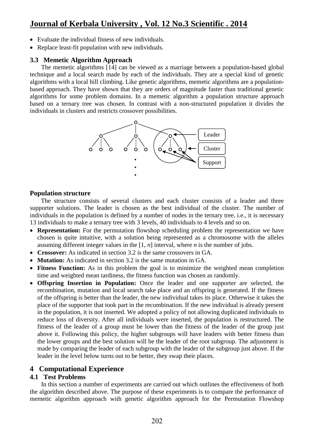- Evaluate the individual fitness of new individuals.
- Replace least-fit population with new individuals.

### **3.3 Memetic Algorithm Approach**

The memetic algorithms [14] can be viewed as a marriage between a population-based global technique and a local search made by each of the individuals. They are a special kind of genetic algorithms with a local hill climbing. Like genetic algorithms, memetic algorithms are a populationbased approach. They have shown that they are orders of magnitude faster than traditional genetic algorithms for some problem domains. In a memetic algorithm a population structure approach based on a ternary tree was chosen. In contrast with a non-structured population it divides the individuals in clusters and restricts crossover possibilities.



### **Population structure**

 The structure consists of several clusters and each cluster consists of a leader and three supporter solutions. The leader is chosen as the best individual of the cluster. The number of individuals in the population is defined by a number of nodes in the ternary tree, i.e., it is necessary 13 individuals to make a ternary tree with 3 levels, 40 individuals to 4 levels and so on.

- **Representation:** For the permutation flowshop scheduling problem the representation we have chosen is quite intuitive, with a solution being represented as a chromosome with the alleles assuming different integer values in the [1, *n*] interval, where *n* is the number of jobs.
- **Crossover:** As indicated in section 3.2 is the same crossovers in GA.
- **Mutation:** As indicated in section 3.2 is the same mutation in GA.
- Fitness Function: As in this problem the goal is to minimize the weighted mean completion time and weighted mean tardiness, the fitness function was chosen as randomly.
- **Offspring Insertion in Population:** Once the leader and one supporter are selected, the recombination, mutation and local search take place and an offspring is generated. If the fitness of the offspring is better than the leader, the new individual takes its place. Otherwise it takes the place of the supporter that took part in the recombination. If the new individual is already present in the population, it is not inserted. We adopted a policy of not allowing duplicated individuals to reduce loss of diversity. After all individuals were inserted, the population is restructured. The fitness of the leader of a group must be lower than the fitness of the leader of the group just above it. Following this policy, the higher subgroups will have leaders with better fitness than the lower groups and the best solution will be the leader of the root subgroup. The adjustment is made by comparing the leader of each subgroup with the leader of the subgroup just above. If the leader in the level below turns out to be better, they swap their places.

## **4 Computational Experience**

### **4.1 Test Problems**

In this section a number of experiments are carried out which outlines the effectiveness of both the algorithm described above. The purpose of these experiments is to compare the performance of memetic algorithm approach with genetic algorithm approach for the Permutation Flowshop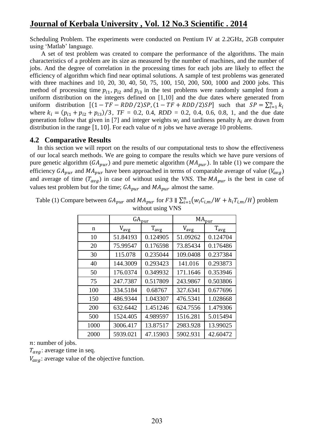Scheduling Problem. The experiments were conducted on Pentium IV at 2.2GHz, 2GB computer using 'Matlab' language.

A set of test problem was created to compare the performance of the algorithms. The main characteristics of a problem are its size as measured by the number of machines, and the number of jobs. And the degree of correlation in the processing times for each jobs are likely to effect the efficiency of algorithm which find near optimal solutions. A sample of test problems was generated with three machines and 10, 20, 30, 40, 50, 75, 100, 150, 200, 500, 1000 and 2000 jobs. This method of processing time  $p_{i1}$ ,  $p_{i2}$  and  $p_{i3}$  in the test problems were randomly sampled from a uniform distribution on the integers defined on [1,10] and the due dates where generated from uniform distribution  $[(1 - TF - RDD/2)SP, (1 - TF + RDD/2)SP]$  such that  $SP = \sum_{i=1}^{n} k$ where  $k_i = (p_{i1} + p_{i2} + p_{i3})/3$ ,  $TF = 0.2$ , 0.4,  $RDD = 0.2$ , 0.4, 0.6, 0.8, 1, and the due date generation follow that given in [7] and integer weights  $w_i$  and tardiness penalty  $h_i$  are drawn from distribution in the range  $[1, 10]$ . For each value of *n* jobs we have average 10 problems.

### **4.2 Comparative Results**

In this section we will report on the results of our computational tests to show the effectiveness of our local search methods. We are going to compare the results which we have pure versions of pure genetic algorithm  $(GA_{pur})$  and pure memetic algorithm  $(MA_{pur})$ . In table (1) we compare the efficiency  $GA_{pur}$  and  $MA_{pur}$  have been approached in terms of comparable average of value ( $V_{avg}$ ) and average of time  $(T_{avg})$  in case of without using the *VNS*. The  $MA_{pur}$  is the best in case of values test problem but for the time;  $GA_{pur}$  and  $MA_{pur}$  almost the same.

|      | $GA_{\text{pur}}$ |                       | $MA_{pur}$ |                       |
|------|-------------------|-----------------------|------------|-----------------------|
| n    | $V_{avg}$         | $T_{\underline{avg}}$ | $V_{avg}$  | $T_{\underline{avg}}$ |
| 10   | 51.84193          | 0.124905              | 51.09262   | 0.124704              |
| 20   | 75.99547          | 0.176598              | 73.85434   | 0.176486              |
| 30   | 115.078           | 0.235044              | 109.0408   | 0.237384              |
| 40   | 144.3009          | 0.293423              | 141.016    | 0.293873              |
| 50   | 176.0374          | 0.349932              | 171.1646   | 0.353946              |
| 75   | 247.7387          | 0.517809              | 243.9867   | 0.503806              |
| 100  | 334.5184          | 0.68767               | 327.6341   | 0.677696              |
| 150  | 486.9344          | 1.043307              | 476.5341   | 1.028668              |
| 200  | 632.6442          | 1.451246              | 624.7556   | 1.479306              |
| 500  | 1524.405          | 4.989597              | 1516.281   | 5.015494              |
| 1000 | 3006.417          | 13.87517              | 2983.928   | 13.99025              |
| 2000 | 5939.021          | 47.15903              | 5902.931   | 42.60472              |

Table (1) Compare between  $GA_{pur}$  and  $MA_{pur}$  for F3  $\parallel \sum_{i=1}^{n} (w_i C_{i,m}/W + h_i T_{i,m}/H)$  problem without using VNS

n: number of jobs.

 $T_{aya}$ : average time in seq.

 $V_{\alpha\nu\rho}$ : average value of the objective function.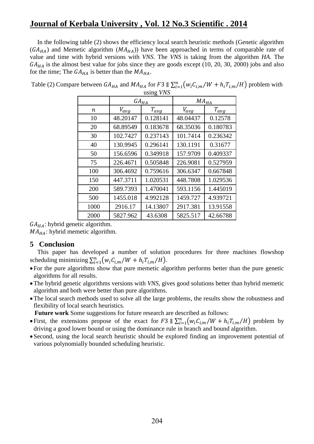In the following table (2) shows the efficiency local search heuristic methods (Genetic algorithm  $(GA_{HA})$  and Memetic algorithm  $(MA_{HA})$  have been approached in terms of comparable rate of value and time with hybrid versions with *VNS*. The *VNS* is taking from the algorithm *HA*. The  $GA_{HA}$  is the almost best value for jobs since they are goods except (10, 20, 30, 2000) jobs and also for the time; The  $GA_{HA}$  is better than the  $MA_{HA}$ .

|                  | $GA_{H\underline{A}}$ |           | $MA_{H\underline{A}}$ |           |
|------------------|-----------------------|-----------|-----------------------|-----------|
| $\boldsymbol{n}$ | $V_{avg}$             | $T_{avg}$ | $V_{avg}$             | $T_{avg}$ |
| 10               | 48.20147              | 0.128141  | 48.04437              | 0.12578   |
| 20               | 68.89549              | 0.183678  | 68.35036              | 0.180783  |
| 30               | 102.7427              | 0.237143  | 101.7414              | 0.236342  |
| 40               | 130.9945              | 0.296141  | 130.1191              | 0.31677   |
| 50               | 156.6596              | 0.349918  | 157.9709              | 0.409337  |
| 75               | 226.4671              | 0.505848  | 226.9081              | 0.527959  |
| 100              | 306.4692              | 0.759616  | 306.6347              | 0.667848  |
| 150              | 447.3711              | 1.020531  | 448.7808              | 1.029536  |
| 200              | 589.7393              | 1.470041  | 593.1156              | 1.445019  |
| 500              | 1455.018              | 4.992128  | 1459.727              | 4.939721  |
| 1000             | 2916.17               | 14.13807  | 2917.381              | 13.91558  |
| 2000             | 5827.962              | 43.6308   | 5825.517              | 42.66788  |

Table (2) Compare between  $GA_{HA}$  and  $MA_{HA}$  for F3  $\parallel \sum_{i=1}^{n} (w_i C_{i,m}/W + h_i T_{i,m}/H)$  problem with using *VNS*

 $GA_{HA}$ : hybrid genetic algorithm.

 $MA_{HA}$ : hybrid memetic algorithm.

## **5 Conclusion**

This paper has developed a number of solution procedures for three machines flowshop scheduling minimizing  $\sum_{i=1}^{n} (w_i C_{i,m}/W + h_i T_{i,m}/H)$ .

- For the pure algorithms show that pure memetic algorithm performs better than the pure genetic algorithms for all results.
- The hybrid genetic algorithms versions with *VNS*, gives good solutions better than hybrid memetic algorithm and both were better than pure algorithms.
- The local search methods used to solve all the large problems, the results show the robustness and flexibility of local search heuristics.

 **Future work** Some suggestions for future research are described as follows:

- First, the extensions propose of the exact for F3  $\|\sum_{i=1}^{n} (w_i C_{i,m}/W + h_i T_{i,m}/H)$  problem by driving a good lower bound or using the dominance rule in branch and bound algorithm.
- Second, using the local search heuristic should be explored finding an improvement potential of various polynomially bounded scheduling heuristic.